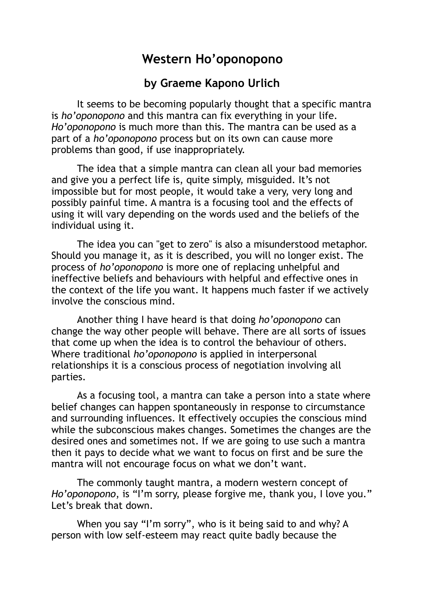## **Western Ho'oponopono**

## **by Graeme Kapono Urlich**

 It seems to be becoming popularly thought that a specific mantra is *ho'oponopono* and this mantra can fix everything in your life. *Ho'oponopono* is much more than this. The mantra can be used as a part of a *ho'oponopono* process but on its own can cause more problems than good, if use inappropriately.

 The idea that a simple mantra can clean all your bad memories and give you a perfect life is, quite simply, misguided. It's not impossible but for most people, it would take a very, very long and possibly painful time. A mantra is a focusing tool and the effects of using it will vary depending on the words used and the beliefs of the individual using it.

 The idea you can "get to zero" is also a misunderstood metaphor. Should you manage it, as it is described, you will no longer exist. The process of *ho'oponopono* is more one of replacing unhelpful and ineffective beliefs and behaviours with helpful and effective ones in the context of the life you want. It happens much faster if we actively involve the conscious mind.

 Another thing I have heard is that doing *ho'oponopono* can change the way other people will behave. There are all sorts of issues that come up when the idea is to control the behaviour of others. Where traditional *ho'oponopono* is applied in interpersonal relationships it is a conscious process of negotiation involving all parties.

 As a focusing tool, a mantra can take a person into a state where belief changes can happen spontaneously in response to circumstance and surrounding influences. It effectively occupies the conscious mind while the subconscious makes changes. Sometimes the changes are the desired ones and sometimes not. If we are going to use such a mantra then it pays to decide what we want to focus on first and be sure the mantra will not encourage focus on what we don't want.

 The commonly taught mantra, a modern western concept of *Ho'oponopono*, is "I'm sorry, please forgive me, thank you, I love you." Let's break that down.

 When you say "I'm sorry", who is it being said to and why? A person with low self-esteem may react quite badly because the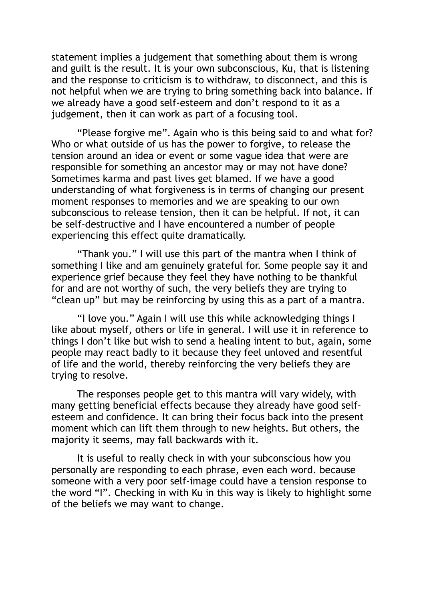statement implies a judgement that something about them is wrong and guilt is the result. It is your own subconscious, Ku, that is listening and the response to criticism is to withdraw, to disconnect, and this is not helpful when we are trying to bring something back into balance. If we already have a good self-esteem and don't respond to it as a judgement, then it can work as part of a focusing tool.

 "Please forgive me". Again who is this being said to and what for? Who or what outside of us has the power to forgive, to release the tension around an idea or event or some vague idea that were are responsible for something an ancestor may or may not have done? Sometimes karma and past lives get blamed. If we have a good understanding of what forgiveness is in terms of changing our present moment responses to memories and we are speaking to our own subconscious to release tension, then it can be helpful. If not, it can be self-destructive and I have encountered a number of people experiencing this effect quite dramatically.

 "Thank you." I will use this part of the mantra when I think of something I like and am genuinely grateful for. Some people say it and experience grief because they feel they have nothing to be thankful for and are not worthy of such, the very beliefs they are trying to "clean up" but may be reinforcing by using this as a part of a mantra.

 "I love you." Again I will use this while acknowledging things I like about myself, others or life in general. I will use it in reference to things I don't like but wish to send a healing intent to but, again, some people may react badly to it because they feel unloved and resentful of life and the world, thereby reinforcing the very beliefs they are trying to resolve.

 The responses people get to this mantra will vary widely, with many getting beneficial effects because they already have good selfesteem and confidence. It can bring their focus back into the present moment which can lift them through to new heights. But others, the majority it seems, may fall backwards with it.

 It is useful to really check in with your subconscious how you personally are responding to each phrase, even each word. because someone with a very poor self-image could have a tension response to the word "I". Checking in with Ku in this way is likely to highlight some of the beliefs we may want to change.